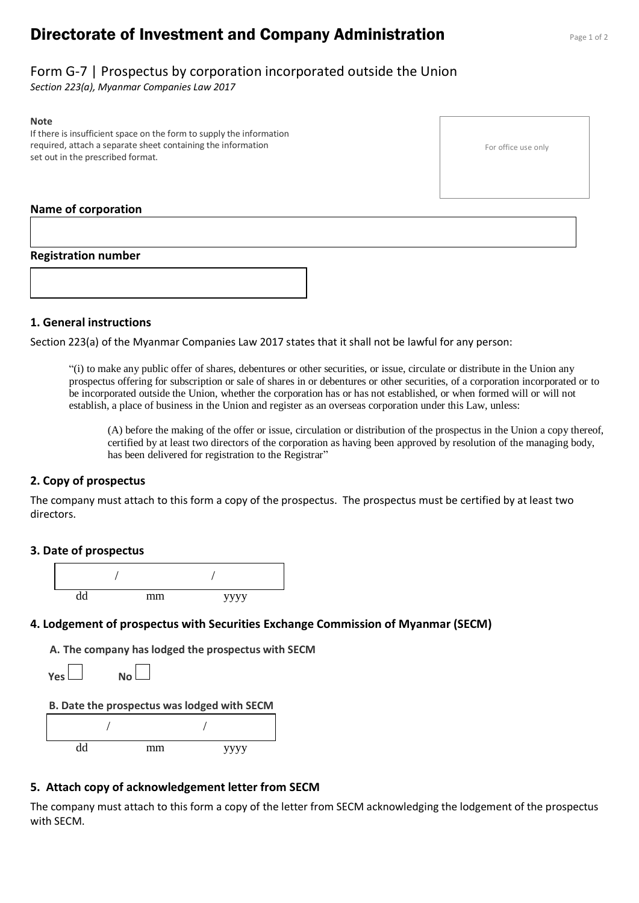# **Directorate of Investment and Company Administration** Page 1 of 2

# Form G-7 | Prospectus by corporation incorporated outside the Union

*Section 223(a), Myanmar Companies Law 2017*

#### **Note**

If there is insufficient space on the form to supply the information required, attach a separate sheet containing the information set out in the prescribed format.

## **Name of corporation**

## **Registration number**



## **1. General instructions**

Section 223(a) of the Myanmar Companies Law 2017 states that it shall not be lawful for any person:

"(i) to make any public offer of shares, debentures or other securities, or issue, circulate or distribute in the Union any prospectus offering for subscription or sale of shares in or debentures or other securities, of a corporation incorporated or to be incorporated outside the Union, whether the corporation has or has not established, or when formed will or will not establish, a place of business in the Union and register as an overseas corporation under this Law, unless:

(A) before the making of the offer or issue, circulation or distribution of the prospectus in the Union a copy thereof, certified by at least two directors of the corporation as having been approved by resolution of the managing body, has been delivered for registration to the Registrar"

## **2. Copy of prospectus**

The company must attach to this form a copy of the prospectus. The prospectus must be certified by at least two directors.

#### **3. Date of prospectus**



## **4. Lodgement of prospectus with Securities Exchange Commission of Myanmar (SECM)**

**A. The company has lodged the prospectus with SECM**

**Yes No** 

#### **B. Date the prospectus was lodged with SECM**

| dd | mm | уууу |  |
|----|----|------|--|

## **5. Attach copy of acknowledgement letter from SECM**

The company must attach to this form a copy of the letter from SECM acknowledging the lodgement of the prospectus with SECM.

For office use only